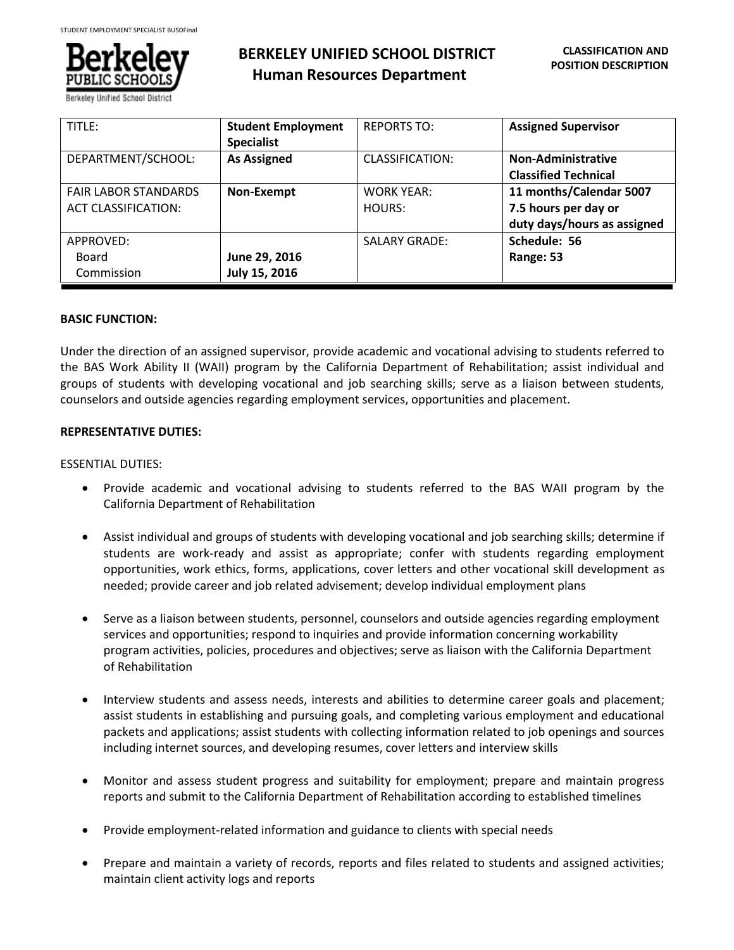

# **BERKELEY UNIFIED SCHOOL DISTRICT Human Resources Department**

| TITLE:                      | <b>Student Employment</b> | <b>REPORTS TO:</b>     | <b>Assigned Supervisor</b>  |
|-----------------------------|---------------------------|------------------------|-----------------------------|
|                             | <b>Specialist</b>         |                        |                             |
| DEPARTMENT/SCHOOL:          | <b>As Assigned</b>        | <b>CLASSIFICATION:</b> | Non-Administrative          |
|                             |                           |                        | <b>Classified Technical</b> |
| <b>FAIR LABOR STANDARDS</b> | Non-Exempt                | <b>WORK YEAR:</b>      | 11 months/Calendar 5007     |
| <b>ACT CLASSIFICATION:</b>  |                           | HOURS:                 | 7.5 hours per day or        |
|                             |                           |                        | duty days/hours as assigned |
| APPROVED:                   |                           | <b>SALARY GRADE:</b>   | Schedule: 56                |
| Board                       | June 29, 2016             |                        | Range: 53                   |
| Commission                  | July 15, 2016             |                        |                             |

# **BASIC FUNCTION:**

Under the direction of an assigned supervisor, provide academic and vocational advising to students referred to the BAS Work Ability II (WAII) program by the California Department of Rehabilitation; assist individual and groups of students with developing vocational and job searching skills; serve as a liaison between students, counselors and outside agencies regarding employment services, opportunities and placement.

# **REPRESENTATIVE DUTIES:**

# ESSENTIAL DUTIES:

- Provide academic and vocational advising to students referred to the BAS WAII program by the California Department of Rehabilitation
- Assist individual and groups of students with developing vocational and job searching skills; determine if students are work-ready and assist as appropriate; confer with students regarding employment opportunities, work ethics, forms, applications, cover letters and other vocational skill development as needed; provide career and job related advisement; develop individual employment plans
- Serve as a liaison between students, personnel, counselors and outside agencies regarding employment services and opportunities; respond to inquiries and provide information concerning workability program activities, policies, procedures and objectives; serve as liaison with the California Department of Rehabilitation
- Interview students and assess needs, interests and abilities to determine career goals and placement; assist students in establishing and pursuing goals, and completing various employment and educational packets and applications; assist students with collecting information related to job openings and sources including internet sources, and developing resumes, cover letters and interview skills
- Monitor and assess student progress and suitability for employment; prepare and maintain progress reports and submit to the California Department of Rehabilitation according to established timelines
- Provide employment-related information and guidance to clients with special needs
- Prepare and maintain a variety of records, reports and files related to students and assigned activities; maintain client activity logs and reports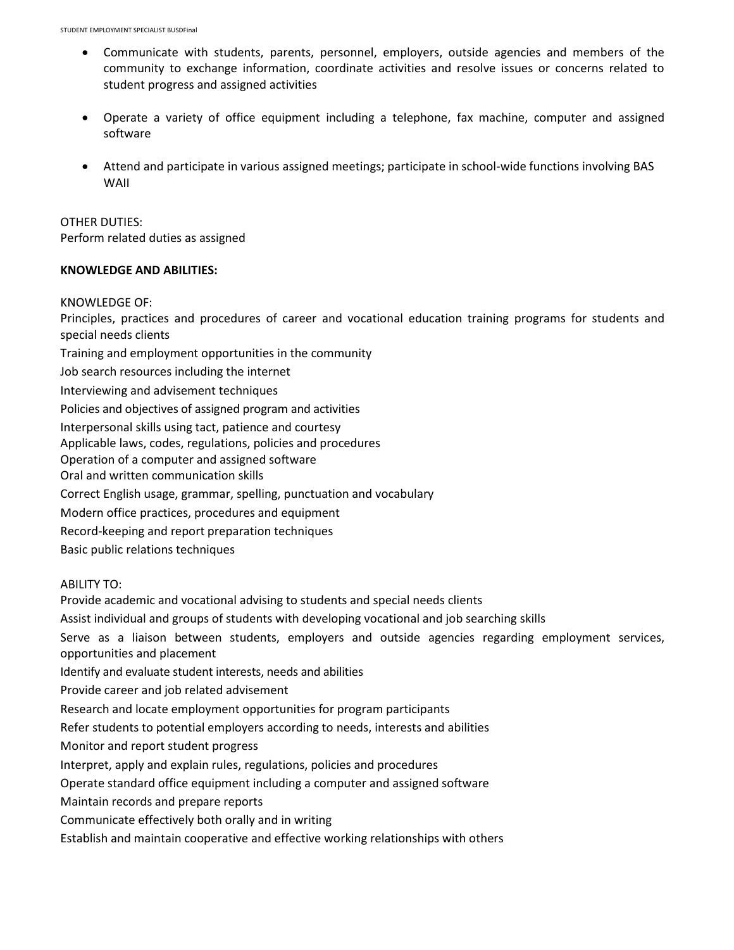- Communicate with students, parents, personnel, employers, outside agencies and members of the community to exchange information, coordinate activities and resolve issues or concerns related to student progress and assigned activities
- Operate a variety of office equipment including a telephone, fax machine, computer and assigned software
- Attend and participate in various assigned meetings; participate in school-wide functions involving BAS WAII

OTHER DUTIES: Perform related duties as assigned

# **KNOWLEDGE AND ABILITIES:**

#### KNOWLEDGE OF:

Principles, practices and procedures of career and vocational education training programs for students and special needs clients Training and employment opportunities in the community Job search resources including the internet Interviewing and advisement techniques Policies and objectives of assigned program and activities Interpersonal skills using tact, patience and courtesy Applicable laws, codes, regulations, policies and procedures Operation of a computer and assigned software Oral and written communication skills Correct English usage, grammar, spelling, punctuation and vocabulary Modern office practices, procedures and equipment Record-keeping and report preparation techniques Basic public relations techniques

ABILITY TO:

Provide academic and vocational advising to students and special needs clients

Assist individual and groups of students with developing vocational and job searching skills

Serve as a liaison between students, employers and outside agencies regarding employment services, opportunities and placement

Identify and evaluate student interests, needs and abilities

Provide career and job related advisement

Research and locate employment opportunities for program participants

Refer students to potential employers according to needs, interests and abilities

Monitor and report student progress

Interpret, apply and explain rules, regulations, policies and procedures

Operate standard office equipment including a computer and assigned software

Maintain records and prepare reports

Communicate effectively both orally and in writing

Establish and maintain cooperative and effective working relationships with others